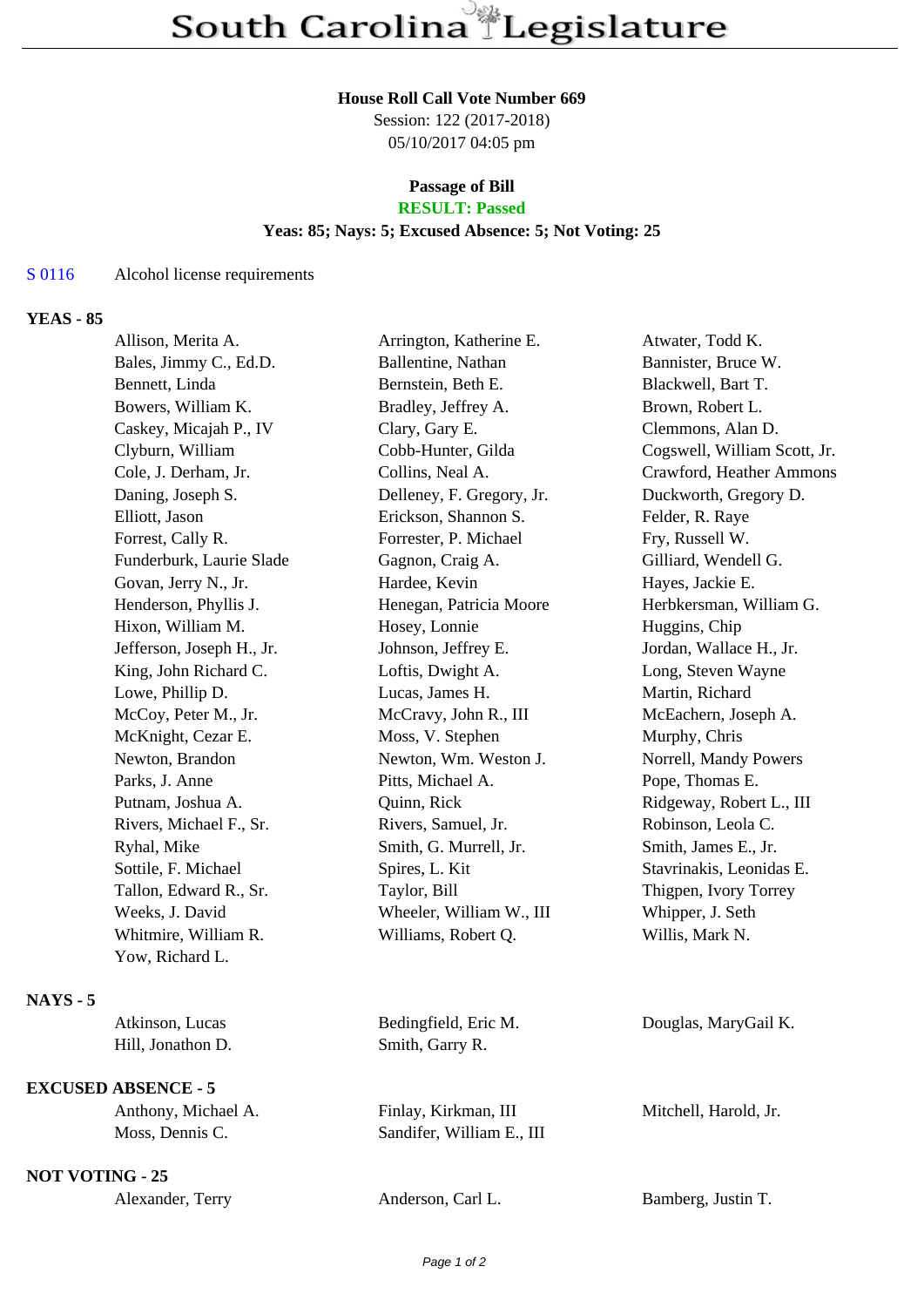#### **House Roll Call Vote Number 669**

Session: 122 (2017-2018) 05/10/2017 04:05 pm

### **Passage of Bill RESULT: Passed**

## **Yeas: 85; Nays: 5; Excused Absence: 5; Not Voting: 25**

## S 0116 Alcohol license requirements

# **YEAS - 85**

|                 | Allison, Merita A.        | Arrington, Katherine E.   | Atwater, Todd K.             |
|-----------------|---------------------------|---------------------------|------------------------------|
|                 | Bales, Jimmy C., Ed.D.    | Ballentine, Nathan        | Bannister, Bruce W.          |
|                 | Bennett, Linda            | Bernstein, Beth E.        | Blackwell, Bart T.           |
|                 | Bowers, William K.        | Bradley, Jeffrey A.       | Brown, Robert L.             |
|                 | Caskey, Micajah P., IV    | Clary, Gary E.            | Clemmons, Alan D.            |
|                 | Clyburn, William          | Cobb-Hunter, Gilda        | Cogswell, William Scott, Jr. |
|                 | Cole, J. Derham, Jr.      | Collins, Neal A.          | Crawford, Heather Ammons     |
|                 | Daning, Joseph S.         | Delleney, F. Gregory, Jr. | Duckworth, Gregory D.        |
|                 | Elliott, Jason            | Erickson, Shannon S.      | Felder, R. Raye              |
|                 | Forrest, Cally R.         | Forrester, P. Michael     | Fry, Russell W.              |
|                 | Funderburk, Laurie Slade  | Gagnon, Craig A.          | Gilliard, Wendell G.         |
|                 | Govan, Jerry N., Jr.      | Hardee, Kevin             | Hayes, Jackie E.             |
|                 | Henderson, Phyllis J.     | Henegan, Patricia Moore   | Herbkersman, William G.      |
|                 | Hixon, William M.         | Hosey, Lonnie             | Huggins, Chip                |
|                 | Jefferson, Joseph H., Jr. | Johnson, Jeffrey E.       | Jordan, Wallace H., Jr.      |
|                 | King, John Richard C.     | Loftis, Dwight A.         | Long, Steven Wayne           |
|                 | Lowe, Phillip D.          | Lucas, James H.           | Martin, Richard              |
|                 | McCoy, Peter M., Jr.      | McCravy, John R., III     | McEachern, Joseph A.         |
|                 | McKnight, Cezar E.        | Moss, V. Stephen          | Murphy, Chris                |
|                 | Newton, Brandon           | Newton, Wm. Weston J.     | Norrell, Mandy Powers        |
|                 | Parks, J. Anne            | Pitts, Michael A.         | Pope, Thomas E.              |
|                 | Putnam, Joshua A.         | Quinn, Rick               | Ridgeway, Robert L., III     |
|                 | Rivers, Michael F., Sr.   | Rivers, Samuel, Jr.       | Robinson, Leola C.           |
|                 | Ryhal, Mike               | Smith, G. Murrell, Jr.    | Smith, James E., Jr.         |
|                 | Sottile, F. Michael       | Spires, L. Kit            | Stavrinakis, Leonidas E.     |
|                 | Tallon, Edward R., Sr.    | Taylor, Bill              | Thigpen, Ivory Torrey        |
|                 | Weeks, J. David           | Wheeler, William W., III  | Whipper, J. Seth             |
|                 | Whitmire, William R.      | Williams, Robert Q.       | Willis, Mark N.              |
|                 | Yow, Richard L.           |                           |                              |
| <b>NAYS - 5</b> |                           |                           |                              |
|                 | Atkinson, Lucas           | Bedingfield, Eric M.      | Douglas, MaryGail K.         |
|                 | Hill, Jonathon D.         | Smith, Garry R.           |                              |
|                 |                           |                           |                              |

Anthony, Michael A. Finlay, Kirkman, III Mitchell, Harold, Jr.

**NOT VOTING - 25**

**EXCUSED ABSENCE - 5**

Moss, Dennis C. Sandifer, William E., III

Alexander, Terry Anderson, Carl L. Bamberg, Justin T.